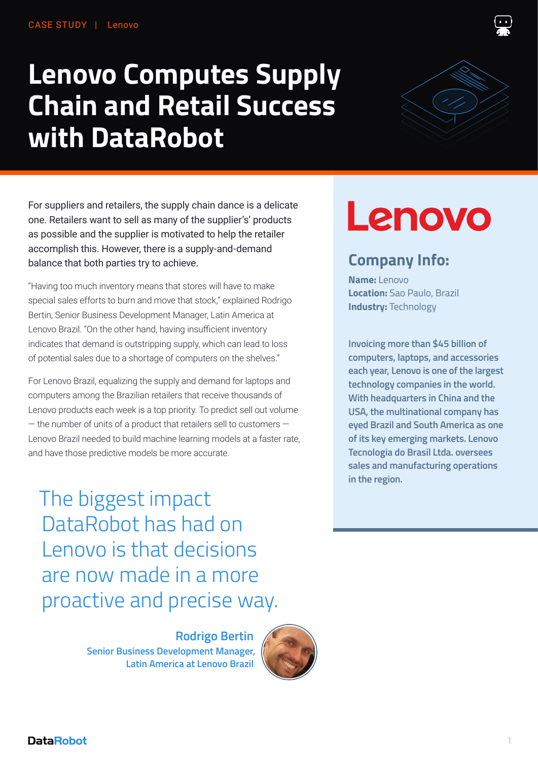# **Lenovo Computes Supply Chain and Retail Success with DataRobot**

For suppliers and retailers, the supply chain dance is a delicate one. Retailers want to sell as many of the supplier's' products as possible and the supplier is motivated to help the retailer accomplish this. However, there is a supply-and-demand balance that both parties try to achieve.

"Having too much inventory means that stores will have to make special sales efforts to burn and move that stock," explained Rodrigo Bertin, Senior Business Development Manager, Latin America at Lenovo Brazil. "On the other hand, having insufficient inventory indicates that demand is outstripping supply, which can lead to loss of potential sales due to a shortage of computers on the shelves."

For Lenovo Brazil, equalizing the supply and demand for laptops and computers among the Brazilian retailers that receive thousands of Lenovo products each week is a top priority. To predict sell out volume  $-$  the number of units of a product that retailers sell to customers  $-$ Lenovo Brazil needed to build machine learning models at a faster rate, and have those predictive models be more accurate.

Lenovo

# **Company Info:**

**Name:** Lenovo **Location:** Sao Paulo, Brazil **Industry:** Technology

**Invoicing more than \$45 billion of computers, laptops, and accessories each year, Lenovo is one of the largest technology companies in the world. With headquarters in China and the USA, the multinational company has eyed Brazil and South America as one of its key emerging markets. Lenovo Tecnologia do Brasil Ltda. oversees sales and manufacturing operations in the region.** 

The biggest impact DataRobot has had on Lenovo is that decisions are now made in a more proactive and precise way.

> **Rodrigo Bertin Senior Business Development Manager, Latin America at Lenovo Brazil**



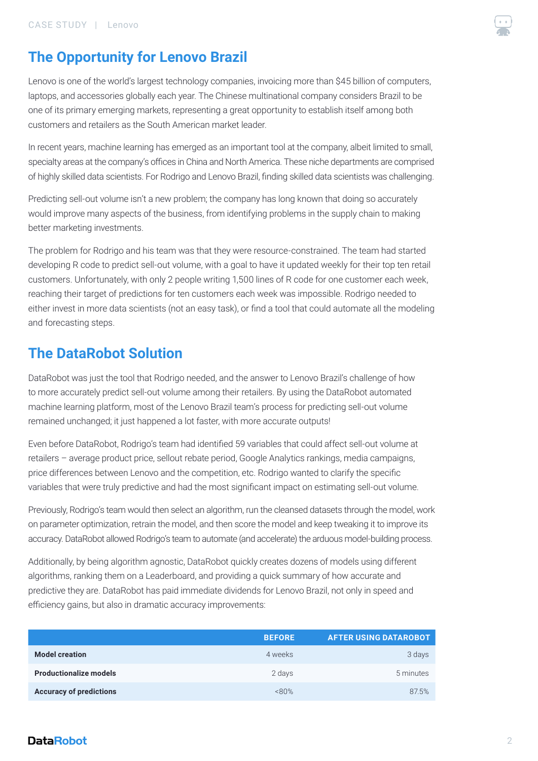

## **The Opportunity for Lenovo Brazil**

Lenovo is one of the world's largest technology companies, invoicing more than \$45 billion of computers, laptops, and accessories globally each year. The Chinese multinational company considers Brazil to be one of its primary emerging markets, representing a great opportunity to establish itself among both customers and retailers as the South American market leader.

In recent years, machine learning has emerged as an important tool at the company, albeit limited to small, specialty areas at the company's offices in China and North America. These niche departments are comprised of highly skilled data scientists. For Rodrigo and Lenovo Brazil, finding skilled data scientists was challenging.

Predicting sell-out volume isn't a new problem; the company has long known that doing so accurately would improve many aspects of the business, from identifying problems in the supply chain to making better marketing investments.

The problem for Rodrigo and his team was that they were resource-constrained. The team had started developing R code to predict sell-out volume, with a goal to have it updated weekly for their top ten retail customers. Unfortunately, with only 2 people writing 1,500 lines of R code for one customer each week, reaching their target of predictions for ten customers each week was impossible. Rodrigo needed to either invest in more data scientists (not an easy task), or find a tool that could automate all the modeling and forecasting steps.

## **The DataRobot Solution**

DataRobot was just the tool that Rodrigo needed, and the answer to Lenovo Brazil's challenge of how to more accurately predict sell-out volume among their retailers. By using the DataRobot automated machine learning platform, most of the Lenovo Brazil team's process for predicting sell-out volume remained unchanged; it just happened a lot faster, with more accurate outputs!

Even before DataRobot, Rodrigo's team had identified 59 variables that could affect sell-out volume at retailers – average product price, sellout rebate period, Google Analytics rankings, media campaigns, price differences between Lenovo and the competition, etc. Rodrigo wanted to clarify the specific variables that were truly predictive and had the most significant impact on estimating sell-out volume.

Previously, Rodrigo's team would then select an algorithm, run the cleansed datasets through the model, work on parameter optimization, retrain the model, and then score the model and keep tweaking it to improve its accuracy. DataRobot allowed Rodrigo's team to automate (and accelerate) the arduous model-building process.

Additionally, by being algorithm agnostic, DataRobot quickly creates dozens of models using different algorithms, ranking them on a Leaderboard, and providing a quick summary of how accurate and predictive they are. DataRobot has paid immediate dividends for Lenovo Brazil, not only in speed and efficiency gains, but also in dramatic accuracy improvements:

|                                | <b>BEFORE</b> | <b>AFTER USING DATAROBOT</b> |
|--------------------------------|---------------|------------------------------|
| <b>Model creation</b>          | 4 weeks       | 3 days                       |
| <b>Productionalize models</b>  | 2 days        | 5 minutes                    |
| <b>Accuracy of predictions</b> | &80%          | 87.5%                        |

#### **DataRobot**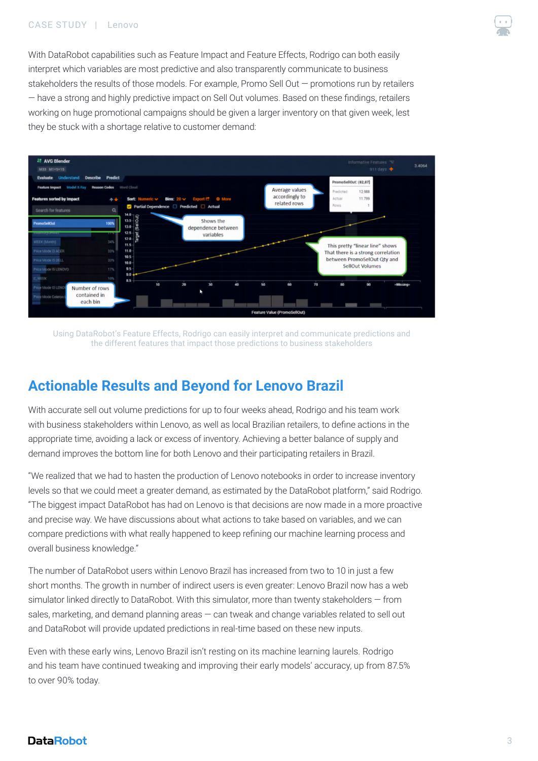#### CASE STUDY | Lenovo



With DataRobot capabilities such as Feature Impact and Feature Effects, Rodrigo can both easily interpret which variables are most predictive and also transparently communicate to business stakeholders the results of those models. For example, Promo Sell Out — promotions run by retailers — have a strong and highly predictive impact on Sell Out volumes. Based on these findings, retailers working on huge promotional campaigns should be given a larger inventory on that given week, lest they be stuck with a shortage relative to customer demand:



Using DataRobot's Feature Effects, Rodrigo can easily interpret and communicate predictions and the different features that impact those predictions to business stakeholders

## **Actionable Results and Beyond for Lenovo Brazil**

With accurate sell out volume predictions for up to four weeks ahead, Rodrigo and his team work with business stakeholders within Lenovo, as well as local Brazilian retailers, to define actions in the appropriate time, avoiding a lack or excess of inventory. Achieving a better balance of supply and demand improves the bottom line for both Lenovo and their participating retailers in Brazil.

"We realized that we had to hasten the production of Lenovo notebooks in order to increase inventory levels so that we could meet a greater demand, as estimated by the DataRobot platform," said Rodrigo. "The biggest impact DataRobot has had on Lenovo is that decisions are now made in a more proactive and precise way. We have discussions about what actions to take based on variables, and we can compare predictions with what really happened to keep refining our machine learning process and overall business knowledge."

The number of DataRobot users within Lenovo Brazil has increased from two to 10 in just a few short months. The growth in number of indirect users is even greater: Lenovo Brazil now has a web simulator linked directly to DataRobot. With this simulator, more than twenty stakeholders — from sales, marketing, and demand planning areas — can tweak and change variables related to sell out and DataRobot will provide updated predictions in real-time based on these new inputs.

Even with these early wins, Lenovo Brazil isn't resting on its machine learning laurels. Rodrigo and his team have continued tweaking and improving their early models' accuracy, up from 87.5% to over 90% today.

#### **DataRobot**